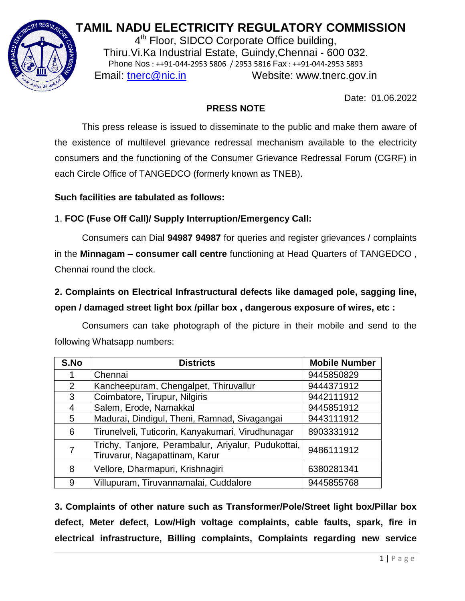# **TAMIL NADU ELECTRICITY REGULATORY COMMISSION**



4<sup>th</sup> Floor, SIDCO Corporate Office building, Thiru.Vi.Ka Industrial Estate, Guindy,Chennai - 600 032. Phone Nos : ++91-044-2953 5806 / 2953 5816 Fax : ++91-044-2953 5893 Email: [tnerc@nic.in](mailto:tnerc@nic.in) Website: www.tnerc.gov.in

Date: 01.06.2022

## **PRESS NOTE**

This press release is issued to disseminate to the public and make them aware of the existence of multilevel grievance redressal mechanism available to the electricity consumers and the functioning of the Consumer Grievance Redressal Forum (CGRF) in each Circle Office of TANGEDCO (formerly known as TNEB).

## **Such facilities are tabulated as follows:**

## 1. **FOC (Fuse Off Call)/ Supply Interruption/Emergency Call:**

Consumers can Dial **94987 94987** for queries and register grievances / complaints in the **Minnagam – consumer call centre** functioning at Head Quarters of TANGEDCO , Chennai round the clock.

## **2. Complaints on Electrical Infrastructural defects like damaged pole, sagging line, open / damaged street light box /pillar box , dangerous exposure of wires, etc :**

Consumers can take photograph of the picture in their mobile and send to the following Whatsapp numbers:

| S.No           | <b>Districts</b>                                                                     | <b>Mobile Number</b> |
|----------------|--------------------------------------------------------------------------------------|----------------------|
|                | Chennai                                                                              | 9445850829           |
| $\overline{2}$ | Kancheepuram, Chengalpet, Thiruvallur                                                | 9444371912           |
| 3              | Coimbatore, Tirupur, Nilgiris                                                        | 9442111912           |
| 4              | Salem, Erode, Namakkal                                                               | 9445851912           |
| 5              | Madurai, Dindigul, Theni, Ramnad, Sivagangai                                         | 9443111912           |
| 6              | Tirunelveli, Tuticorin, Kanyakumari, Virudhunagar                                    | 8903331912           |
| 7              | Trichy, Tanjore, Perambalur, Ariyalur, Pudukottai,<br>Tiruvarur, Nagapattinam, Karur | 9486111912           |
| 8              | Vellore, Dharmapuri, Krishnagiri                                                     | 6380281341           |
| 9              | Villupuram, Tiruvannamalai, Cuddalore                                                | 9445855768           |

**3. Complaints of other nature such as Transformer/Pole/Street light box/Pillar box defect, Meter defect, Low/High voltage complaints, cable faults, spark, fire in electrical infrastructure, Billing complaints, Complaints regarding new service**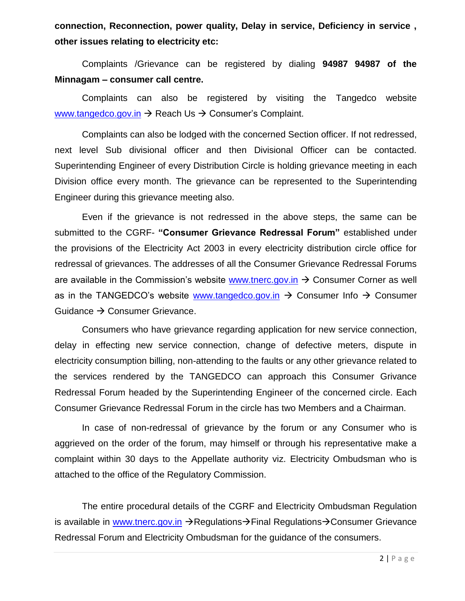**connection, Reconnection, power quality, Delay in service, Deficiency in service , other issues relating to electricity etc:** 

Complaints /Grievance can be registered by dialing **94987 94987 of the Minnagam – consumer call centre.** 

Complaints can also be registered by visiting the Tangedco website [www.tangedco.gov.in](http://www.tangedco.gov.in/)  $\rightarrow$  Reach Us  $\rightarrow$  Consumer's Complaint.

Complaints can also be lodged with the concerned Section officer. If not redressed, next level Sub divisional officer and then Divisional Officer can be contacted. Superintending Engineer of every Distribution Circle is holding grievance meeting in each Division office every month. The grievance can be represented to the Superintending Engineer during this grievance meeting also.

Even if the grievance is not redressed in the above steps, the same can be submitted to the CGRF- **"Consumer Grievance Redressal Forum"** established under the provisions of the Electricity Act 2003 in every electricity distribution circle office for redressal of grievances. The addresses of all the Consumer Grievance Redressal Forums are available in the Commission's website [www.tnerc.gov.in](http://www.tnerc.gov.in/)  $\rightarrow$  Consumer Corner as well as in the TANGEDCO's website [www.tangedco.gov.in](http://www.tangedco.gov.in/)  $\rightarrow$  Consumer Info  $\rightarrow$  Consumer Guidance  $\rightarrow$  Consumer Grievance.

Consumers who have grievance regarding application for new service connection, delay in effecting new service connection, change of defective meters, dispute in electricity consumption billing, non-attending to the faults or any other grievance related to the services rendered by the TANGEDCO can approach this Consumer Grivance Redressal Forum headed by the Superintending Engineer of the concerned circle. Each Consumer Grievance Redressal Forum in the circle has two Members and a Chairman.

In case of non-redressal of grievance by the forum or any Consumer who is aggrieved on the order of the forum, may himself or through his representative make a complaint within 30 days to the Appellate authority viz. Electricity Ombudsman who is attached to the office of the Regulatory Commission.

The entire procedural details of the CGRF and Electricity Ombudsman Regulation is available in [www.tnerc.gov.in](http://www.tnerc.gov.in/)  $\rightarrow$  Regulations $\rightarrow$  Final Regulations $\rightarrow$  Consumer Grievance Redressal Forum and Electricity Ombudsman for the guidance of the consumers.